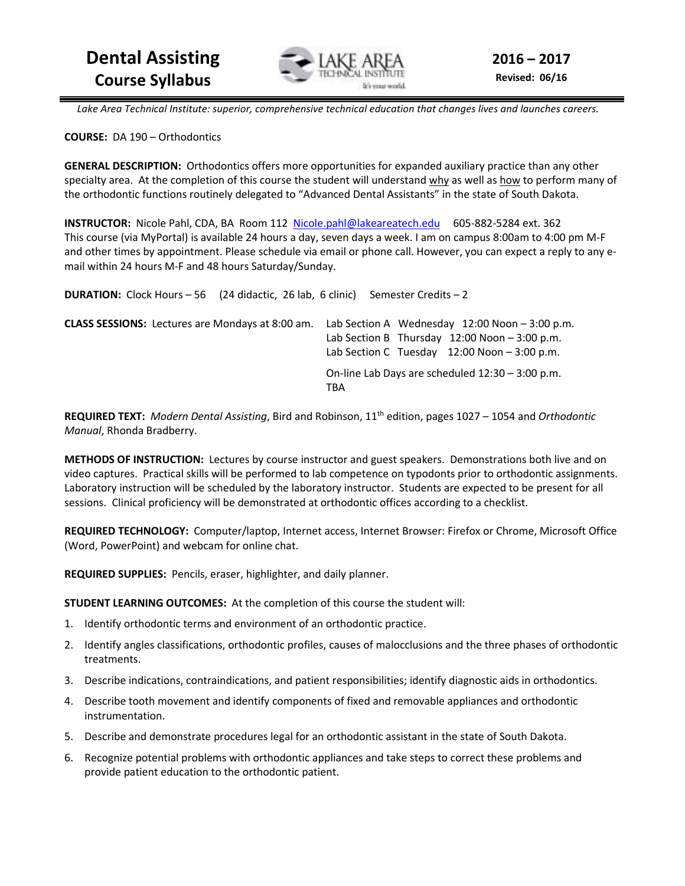

 *Lake Area Technical Institute: superior, comprehensive technical education that changes lives and launches careers.* 

**COURSE:** DA 190 – Orthodontics

**GENERAL DESCRIPTION:** Orthodontics offers more opportunities for expanded auxiliary practice than any other specialty area. At the completion of this course the student will understand why as well as how to perform many of the orthodontic functions routinely delegated to "Advanced Dental Assistants" in the state of South Dakota.

**INSTRUCTOR:** Nicole Pahl, CDA, BA Room 112 Nicole.pahl@lakeareatech.edu 605-882-5284 ext. 362 This course (via MyPortal) is available 24 hours a day, seven days a week. I am on campus 8:00am to 4:00 pm M-F and other times by appointment. Please schedule via email or phone call. However, you can expect a reply to any email within 24 hours M-F and 48 hours Saturday/Sunday.

| <b>DURATION:</b> Clock Hours - 56 (24 didactic, 26 lab, 6 clinic) |     | Semester Credits – 2 |                                                                                                                                                          |  |
|-------------------------------------------------------------------|-----|----------------------|----------------------------------------------------------------------------------------------------------------------------------------------------------|--|
| <b>CLASS SESSIONS:</b> Lectures are Mondays at 8:00 am.           |     |                      | Lab Section A Wednesday $12:00$ Noon $-3:00$ p.m.<br>Lab Section B Thursday $12:00$ Noon $-3:00$ p.m.<br>Lab Section C Tuesday $12:00$ Noon $-3:00$ p.m. |  |
|                                                                   | TBA |                      | On-line Lab Days are scheduled 12:30 - 3:00 p.m.                                                                                                         |  |

**REQUIRED TEXT:** *Modern Dental Assisting*, Bird and Robinson, 11th edition, pages 1027 – 1054 and *Orthodontic Manual*, Rhonda Bradberry.

**METHODS OF INSTRUCTION:** Lectures by course instructor and guest speakers. Demonstrations both live and on video captures. Practical skills will be performed to lab competence on typodonts prior to orthodontic assignments. Laboratory instruction will be scheduled by the laboratory instructor. Students are expected to be present for all sessions. Clinical proficiency will be demonstrated at orthodontic offices according to a checklist.

**REQUIRED TECHNOLOGY:** Computer/laptop, Internet access, Internet Browser: Firefox or Chrome, Microsoft Office (Word, PowerPoint) and webcam for online chat.

**REQUIRED SUPPLIES:** Pencils, eraser, highlighter, and daily planner.

**STUDENT LEARNING OUTCOMES:** At the completion of this course the student will:

- 1. Identify orthodontic terms and environment of an orthodontic practice.
- 2. Identify angles classifications, orthodontic profiles, causes of malocclusions and the three phases of orthodontic treatments.
- 3. Describe indications, contraindications, and patient responsibilities; identify diagnostic aids in orthodontics.
- 4. Describe tooth movement and identify components of fixed and removable appliances and orthodontic instrumentation.
- 5. Describe and demonstrate procedures legal for an orthodontic assistant in the state of South Dakota.
- 6. Recognize potential problems with orthodontic appliances and take steps to correct these problems and provide patient education to the orthodontic patient.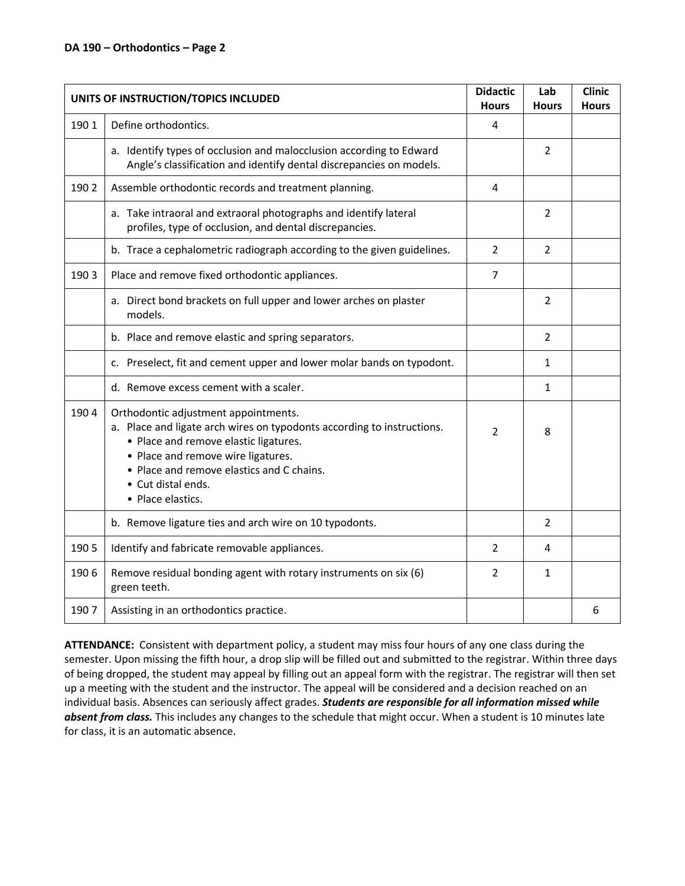#### **DA 190 – Orthodontics – Page 2**

| UNITS OF INSTRUCTION/TOPICS INCLUDED |                                                                                                                                                                                                                                                                                       | <b>Didactic</b><br><b>Hours</b> | Lab<br><b>Hours</b> | <b>Clinic</b><br><b>Hours</b> |
|--------------------------------------|---------------------------------------------------------------------------------------------------------------------------------------------------------------------------------------------------------------------------------------------------------------------------------------|---------------------------------|---------------------|-------------------------------|
| 1901                                 | Define orthodontics.                                                                                                                                                                                                                                                                  | $\overline{4}$                  |                     |                               |
|                                      | a. Identify types of occlusion and malocclusion according to Edward<br>Angle's classification and identify dental discrepancies on models.                                                                                                                                            |                                 | $\overline{2}$      |                               |
| 1902                                 | Assemble orthodontic records and treatment planning.                                                                                                                                                                                                                                  | 4                               |                     |                               |
|                                      | a. Take intraoral and extraoral photographs and identify lateral<br>profiles, type of occlusion, and dental discrepancies.                                                                                                                                                            |                                 | 2                   |                               |
|                                      | b. Trace a cephalometric radiograph according to the given guidelines.                                                                                                                                                                                                                | $\overline{2}$                  | $\overline{2}$      |                               |
| 1903                                 | Place and remove fixed orthodontic appliances.                                                                                                                                                                                                                                        | 7                               |                     |                               |
|                                      | a. Direct bond brackets on full upper and lower arches on plaster<br>models.                                                                                                                                                                                                          |                                 | 2                   |                               |
|                                      | b. Place and remove elastic and spring separators.                                                                                                                                                                                                                                    |                                 | $\overline{2}$      |                               |
|                                      | c. Preselect, fit and cement upper and lower molar bands on typodont.                                                                                                                                                                                                                 |                                 | $\mathbf{1}$        |                               |
|                                      | d. Remove excess cement with a scaler.                                                                                                                                                                                                                                                |                                 | $\mathbf{1}$        |                               |
| 1904                                 | Orthodontic adjustment appointments.<br>a. Place and ligate arch wires on typodonts according to instructions.<br>• Place and remove elastic ligatures.<br>• Place and remove wire ligatures.<br>• Place and remove elastics and C chains.<br>• Cut distal ends.<br>• Place elastics. | 2                               | 8                   |                               |
|                                      | b. Remove ligature ties and arch wire on 10 typodonts.                                                                                                                                                                                                                                |                                 | $\overline{2}$      |                               |
| 1905                                 | Identify and fabricate removable appliances.                                                                                                                                                                                                                                          |                                 | 4                   |                               |
| 1906                                 | Remove residual bonding agent with rotary instruments on six (6)<br>green teeth.                                                                                                                                                                                                      | 2                               | $\mathbf{1}$        |                               |
| 1907                                 | Assisting in an orthodontics practice.                                                                                                                                                                                                                                                |                                 |                     | 6                             |

**ATTENDANCE:** Consistent with department policy, a student may miss four hours of any one class during the semester. Upon missing the fifth hour, a drop slip will be filled out and submitted to the registrar. Within three days of being dropped, the student may appeal by filling out an appeal form with the registrar. The registrar will then set up a meeting with the student and the instructor. The appeal will be considered and a decision reached on an individual basis. Absences can seriously affect grades. *Students are responsible for all information missed while absent from class.* This includes any changes to the schedule that might occur. When a student is 10 minutes late for class, it is an automatic absence.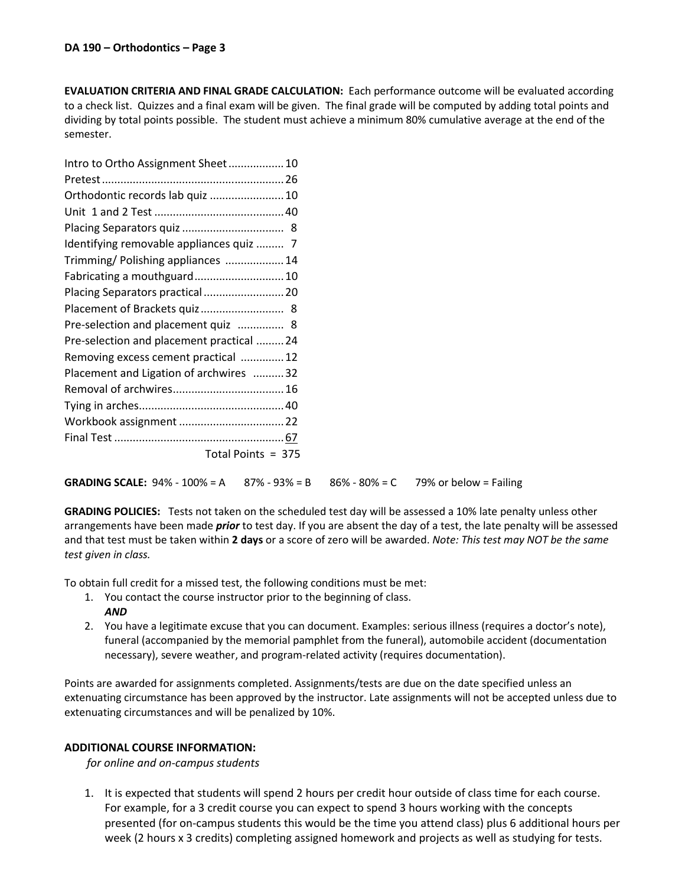**EVALUATION CRITERIA AND FINAL GRADE CALCULATION:** Each performance outcome will be evaluated according to a check list. Quizzes and a final exam will be given. The final grade will be computed by adding total points and dividing by total points possible. The student must achieve a minimum 80% cumulative average at the end of the semester.

| Intro to Ortho Assignment Sheet 10        |
|-------------------------------------------|
|                                           |
| Orthodontic records lab quiz  10          |
|                                           |
|                                           |
| Identifying removable appliances quiz  7  |
| Trimming/ Polishing appliances  14        |
| Fabricating a mouthguard 10               |
| Placing Separators practical  20          |
| Placement of Brackets quiz 8              |
| Pre-selection and placement quiz  8       |
| Pre-selection and placement practical  24 |
| Removing excess cement practical  12      |
| Placement and Ligation of archwires 32    |
|                                           |
|                                           |
|                                           |
|                                           |
| Total Points = 375                        |
|                                           |

**GRADING SCALE:**  $94\% - 100\% = A$  87% -  $93\% = B$  86% - 80% = C 79% or below = Failing

**GRADING POLICIES:** Tests not taken on the scheduled test day will be assessed a 10% late penalty unless other arrangements have been made *prior* to test day. If you are absent the day of a test, the late penalty will be assessed and that test must be taken within **2 days** or a score of zero will be awarded. *Note: This test may NOT be the same test given in class.* 

To obtain full credit for a missed test, the following conditions must be met:

- 1. You contact the course instructor prior to the beginning of class. *AND*
- 2. You have a legitimate excuse that you can document. Examples: serious illness (requires a doctor's note), funeral (accompanied by the memorial pamphlet from the funeral), automobile accident (documentation necessary), severe weather, and program-related activity (requires documentation).

Points are awarded for assignments completed. Assignments/tests are due on the date specified unless an extenuating circumstance has been approved by the instructor. Late assignments will not be accepted unless due to extenuating circumstances and will be penalized by 10%.

# **ADDITIONAL COURSE INFORMATION:**

*for online and on-campus students* 

1. It is expected that students will spend 2 hours per credit hour outside of class time for each course. For example, for a 3 credit course you can expect to spend 3 hours working with the concepts presented (for on-campus students this would be the time you attend class) plus 6 additional hours per week (2 hours x 3 credits) completing assigned homework and projects as well as studying for tests.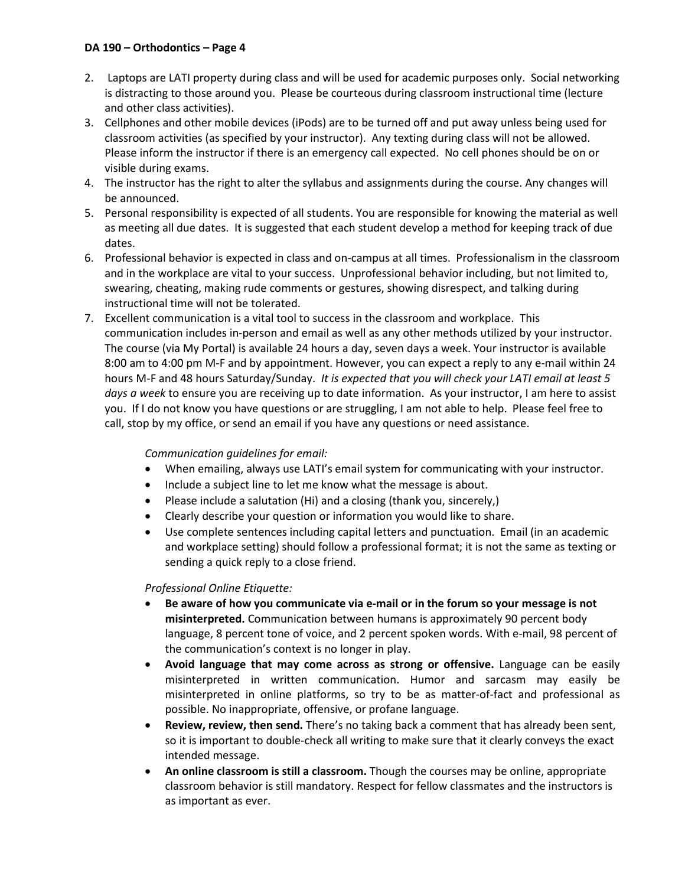# **DA 190 – Orthodontics – Page 4**

- 2. Laptops are LATI property during class and will be used for academic purposes only. Social networking is distracting to those around you. Please be courteous during classroom instructional time (lecture and other class activities).
- 3. Cellphones and other mobile devices (iPods) are to be turned off and put away unless being used for classroom activities (as specified by your instructor). Any texting during class will not be allowed. Please inform the instructor if there is an emergency call expected. No cell phones should be on or visible during exams.
- 4. The instructor has the right to alter the syllabus and assignments during the course. Any changes will be announced.
- 5. Personal responsibility is expected of all students. You are responsible for knowing the material as well as meeting all due dates. It is suggested that each student develop a method for keeping track of due dates.
- 6. Professional behavior is expected in class and on-campus at all times. Professionalism in the classroom and in the workplace are vital to your success. Unprofessional behavior including, but not limited to, swearing, cheating, making rude comments or gestures, showing disrespect, and talking during instructional time will not be tolerated.
- 7. Excellent communication is a vital tool to success in the classroom and workplace. This communication includes in-person and email as well as any other methods utilized by your instructor. The course (via My Portal) is available 24 hours a day, seven days a week. Your instructor is available 8:00 am to 4:00 pm M-F and by appointment. However, you can expect a reply to any e-mail within 24 hours M-F and 48 hours Saturday/Sunday. *It is expected that you will check your LATI email at least 5 days a week* to ensure you are receiving up to date information. As your instructor, I am here to assist you. If I do not know you have questions or are struggling, I am not able to help. Please feel free to call, stop by my office, or send an email if you have any questions or need assistance.

# *Communication guidelines for email:*

- When emailing, always use LATI's email system for communicating with your instructor.
- Include a subject line to let me know what the message is about.
- Please include a salutation (Hi) and a closing (thank you, sincerely,)
- Clearly describe your question or information you would like to share.
- Use complete sentences including capital letters and punctuation. Email (in an academic and workplace setting) should follow a professional format; it is not the same as texting or sending a quick reply to a close friend.

# *Professional Online Etiquette:*

- **Be aware of how you communicate via e-mail or in the forum so your message is not misinterpreted.** Communication between humans is approximately 90 percent body language, 8 percent tone of voice, and 2 percent spoken words. With e-mail, 98 percent of the communication's context is no longer in play.
- **Avoid language that may come across as strong or offensive.** Language can be easily misinterpreted in written communication. Humor and sarcasm may easily be misinterpreted in online platforms, so try to be as matter-of-fact and professional as possible. No inappropriate, offensive, or profane language.
- **Review, review, then send.** There's no taking back a comment that has already been sent, so it is important to double-check all writing to make sure that it clearly conveys the exact intended message.
- **An online classroom is still a classroom.** Though the courses may be online, appropriate classroom behavior is still mandatory. Respect for fellow classmates and the instructors is as important as ever.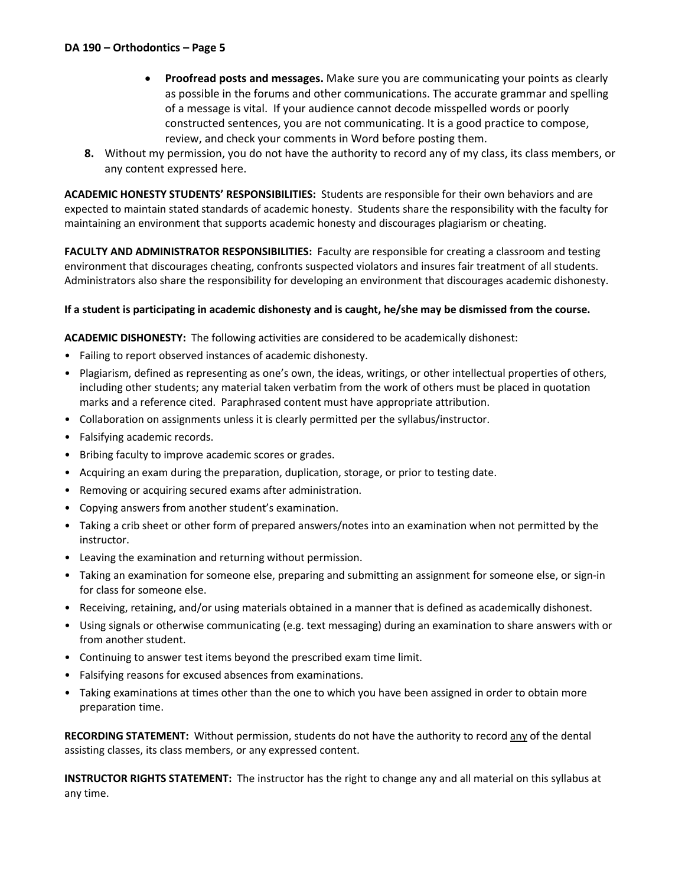- **Proofread posts and messages.** Make sure you are communicating your points as clearly as possible in the forums and other communications. The accurate grammar and spelling of a message is vital. If your audience cannot decode misspelled words or poorly constructed sentences, you are not communicating. It is a good practice to compose, review, and check your comments in Word before posting them.
- **8.** Without my permission, you do not have the authority to record any of my class, its class members, or any content expressed here.

**ACADEMIC HONESTY STUDENTS' RESPONSIBILITIES:** Students are responsible for their own behaviors and are expected to maintain stated standards of academic honesty. Students share the responsibility with the faculty for maintaining an environment that supports academic honesty and discourages plagiarism or cheating.

**FACULTY AND ADMINISTRATOR RESPONSIBILITIES:** Faculty are responsible for creating a classroom and testing environment that discourages cheating, confronts suspected violators and insures fair treatment of all students. Administrators also share the responsibility for developing an environment that discourages academic dishonesty.

# **If a student is participating in academic dishonesty and is caught, he/she may be dismissed from the course.**

**ACADEMIC DISHONESTY:** The following activities are considered to be academically dishonest:

- Failing to report observed instances of academic dishonesty.
- Plagiarism, defined as representing as one's own, the ideas, writings, or other intellectual properties of others, including other students; any material taken verbatim from the work of others must be placed in quotation marks and a reference cited. Paraphrased content must have appropriate attribution.
- Collaboration on assignments unless it is clearly permitted per the syllabus/instructor.
- Falsifying academic records.
- Bribing faculty to improve academic scores or grades.
- Acquiring an exam during the preparation, duplication, storage, or prior to testing date.
- Removing or acquiring secured exams after administration.
- Copying answers from another student's examination.
- Taking a crib sheet or other form of prepared answers/notes into an examination when not permitted by the instructor.
- Leaving the examination and returning without permission.
- Taking an examination for someone else, preparing and submitting an assignment for someone else, or sign-in for class for someone else.
- Receiving, retaining, and/or using materials obtained in a manner that is defined as academically dishonest.
- Using signals or otherwise communicating (e.g. text messaging) during an examination to share answers with or from another student.
- Continuing to answer test items beyond the prescribed exam time limit.
- Falsifying reasons for excused absences from examinations.
- Taking examinations at times other than the one to which you have been assigned in order to obtain more preparation time.

**RECORDING STATEMENT:** Without permission, students do not have the authority to record any of the dental assisting classes, its class members, or any expressed content.

**INSTRUCTOR RIGHTS STATEMENT:** The instructor has the right to change any and all material on this syllabus at any time.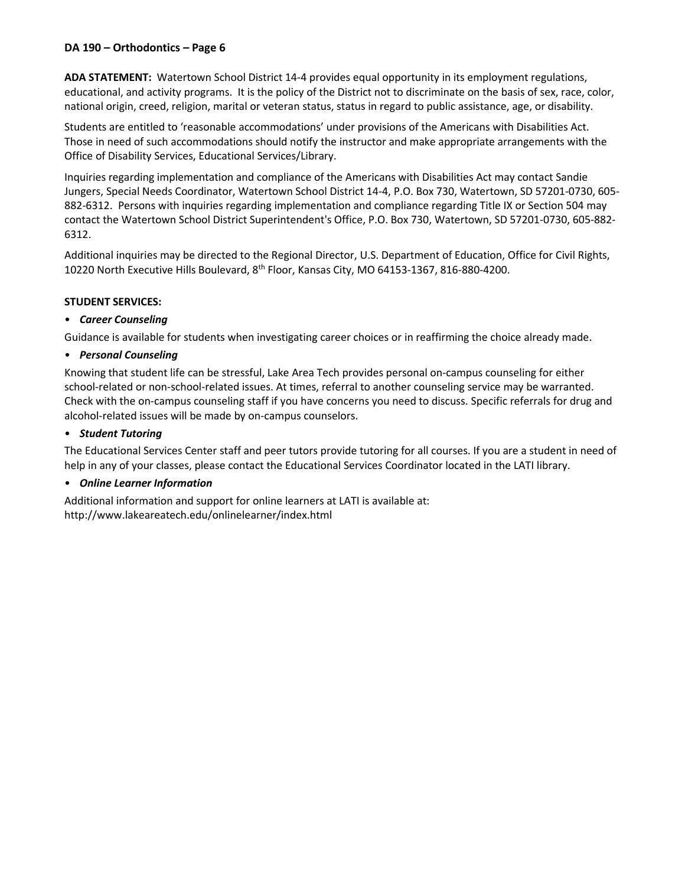# **DA 190 – Orthodontics – Page 6**

**ADA STATEMENT:** Watertown School District 14-4 provides equal opportunity in its employment regulations, educational, and activity programs. It is the policy of the District not to discriminate on the basis of sex, race, color, national origin, creed, religion, marital or veteran status, status in regard to public assistance, age, or disability.

Students are entitled to 'reasonable accommodations' under provisions of the Americans with Disabilities Act. Those in need of such accommodations should notify the instructor and make appropriate arrangements with the Office of Disability Services, Educational Services/Library.

Inquiries regarding implementation and compliance of the Americans with Disabilities Act may contact Sandie Jungers, Special Needs Coordinator, Watertown School District 14-4, P.O. Box 730, Watertown, SD 57201-0730, 605- 882-6312. Persons with inquiries regarding implementation and compliance regarding Title IX or Section 504 may contact the Watertown School District Superintendent's Office, P.O. Box 730, Watertown, SD 57201-0730, 605-882- 6312.

Additional inquiries may be directed to the Regional Director, U.S. Department of Education, Office for Civil Rights, 10220 North Executive Hills Boulevard, 8th Floor, Kansas City, MO 64153-1367, 816-880-4200.

#### **STUDENT SERVICES:**

#### • *Career Counseling*

Guidance is available for students when investigating career choices or in reaffirming the choice already made.

#### • *Personal Counseling*

Knowing that student life can be stressful, Lake Area Tech provides personal on-campus counseling for either school-related or non-school-related issues. At times, referral to another counseling service may be warranted. Check with the on-campus counseling staff if you have concerns you need to discuss. Specific referrals for drug and alcohol-related issues will be made by on-campus counselors.

#### • *Student Tutoring*

The Educational Services Center staff and peer tutors provide tutoring for all courses. If you are a student in need of help in any of your classes, please contact the Educational Services Coordinator located in the LATI library.

# • *Online Learner Information*

Additional information and support for online learners at LATI is available at: http://www.lakeareatech.edu/onlinelearner/index.html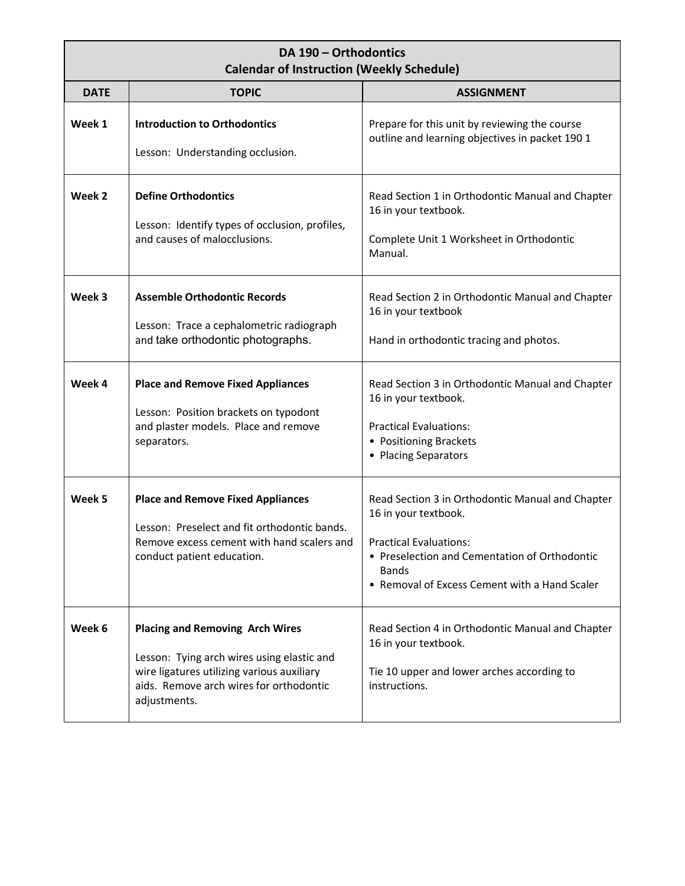# **DA 190 – Orthodontics Calendar of Instruction (Weekly Schedule)**

| <b>DATE</b> | <b>TOPIC</b>                                                                                                                                                                                  | <b>ASSIGNMENT</b>                                                                                                                                                                                                    |  |  |
|-------------|-----------------------------------------------------------------------------------------------------------------------------------------------------------------------------------------------|----------------------------------------------------------------------------------------------------------------------------------------------------------------------------------------------------------------------|--|--|
| Week 1      | <b>Introduction to Orthodontics</b><br>Lesson: Understanding occlusion.                                                                                                                       | Prepare for this unit by reviewing the course<br>outline and learning objectives in packet 190 1                                                                                                                     |  |  |
| Week 2      | <b>Define Orthodontics</b><br>Lesson: Identify types of occlusion, profiles,<br>and causes of malocclusions.                                                                                  | Read Section 1 in Orthodontic Manual and Chapter<br>16 in your textbook.<br>Complete Unit 1 Worksheet in Orthodontic<br>Manual.                                                                                      |  |  |
| Week 3      | <b>Assemble Orthodontic Records</b><br>Lesson: Trace a cephalometric radiograph<br>and take orthodontic photographs.                                                                          | Read Section 2 in Orthodontic Manual and Chapter<br>16 in your textbook<br>Hand in orthodontic tracing and photos.                                                                                                   |  |  |
| Week 4      | <b>Place and Remove Fixed Appliances</b><br>Lesson: Position brackets on typodont<br>and plaster models. Place and remove<br>separators.                                                      | Read Section 3 in Orthodontic Manual and Chapter<br>16 in your textbook.<br><b>Practical Evaluations:</b><br>• Positioning Brackets<br>• Placing Separators                                                          |  |  |
| Week 5      | <b>Place and Remove Fixed Appliances</b><br>Lesson: Preselect and fit orthodontic bands.<br>Remove excess cement with hand scalers and<br>conduct patient education.                          | Read Section 3 in Orthodontic Manual and Chapter<br>16 in your textbook.<br><b>Practical Evaluations:</b><br>• Preselection and Cementation of Orthodontic<br>Bands<br>• Removal of Excess Cement with a Hand Scaler |  |  |
| Week 6      | <b>Placing and Removing Arch Wires</b><br>Lesson: Tying arch wires using elastic and<br>wire ligatures utilizing various auxiliary<br>aids. Remove arch wires for orthodontic<br>adjustments. | Read Section 4 in Orthodontic Manual and Chapter<br>16 in your textbook.<br>Tie 10 upper and lower arches according to<br>instructions.                                                                              |  |  |